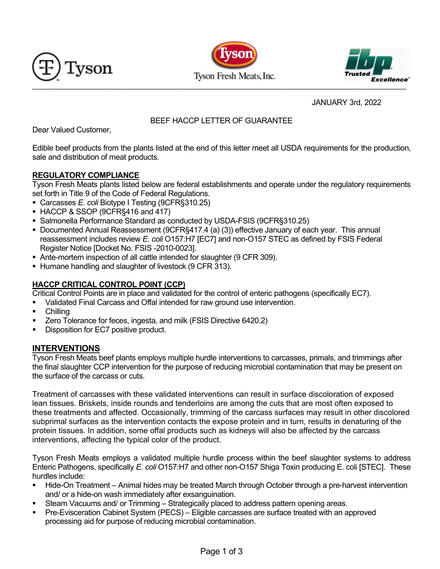





JANUARY 3rd, 2022

# BEEF HACCP LETTER OF GUARANTEE

Dear Valued Customer,

Edible beef products from the plants listed at the end of this letter meet all USDA requirements for the production, sale and distribution of meat products.

## **REGULATORY COMPLIANCE**

Tyson Fresh Meats plants listed below are federal establishments and operate under the regulatory requirements set forth in Title 9 of the Code of Federal Regulations.

- Carcasses *E. coli* Biotype I Testing (9CFR§310.25)
- HACCP & SSOP (9CFR§416 and 417)
- Salmonella Performance Standard as conducted by USDA-FSIS (9CFR§310.25)
- Documented Annual Reassessment (9CFR§417.4 (a) (3)) effective January of each year. This annual reassessment includes review *E. coli* O157:H7 [EC7] and non-O157 STEC as defined by FSIS Federal Register Notice [Docket No. FSIS -2010-0023].
- Ante-mortem inspection of all cattle intended for slaughter (9 CFR 309).
- Humane handling and slaughter of livestock (9 CFR 313).

# **HACCP CRITICAL CONTROL POINT (CCP)**

Critical Control Points are in place and validated for the control of enteric pathogens (specifically EC7).

- Validated Final Carcass and Offal intended for raw ground use intervention.
- **-** Chilling
- **EXECT** Zero Tolerance for feces, ingesta, and milk (FSIS Directive 6420.2)
- Disposition for EC7 positive product.

## **INTERVENTIONS**

Tyson Fresh Meats beef plants employs multiple hurdle interventions to carcasses, primals, and trimmings after the final slaughter CCP intervention for the purpose of reducing microbial contamination that may be present on the surface of the carcass or cuts.

Treatment of carcasses with these validated interventions can result in surface discoloration of exposed lean tissues. Briskets, inside rounds and tenderloins are among the cuts that are most often exposed to these treatments and affected. Occasionally, trimming of the carcass surfaces may result in other discolored subprimal surfaces as the intervention contacts the expose protein and in turn, results in denaturing of the protein tissues. In addition, some offal products such as kidneys will also be affected by the carcass interventions, affecting the typical color of the product.

Tyson Fresh Meats employs a validated multiple hurdle process within the beef slaughter systems to address Enteric Pathogens, specifically *E. coli* O157:H7 and other non-O157 Shiga Toxin producing E. coli [STEC]. These hurdles include:

- Hide-On Treatment Animal hides may be treated March through October through a pre-harvest intervention and/ or a hide-on wash immediately after exsanguination.
- **Steam Vacuums and/ or Trimming Strategically placed to address pattern opening areas.**
- Pre-Evisceration Cabinet System (PECS) Eligible carcasses are surface treated with an approved processing aid for purpose of reducing microbial contamination.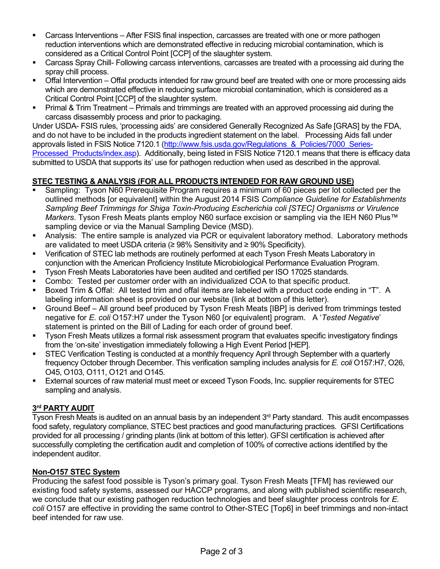- Carcass Interventions After FSIS final inspection, carcasses are treated with one or more pathogen reduction interventions which are demonstrated effective in reducing microbial contamination, which is considered as a Critical Control Point [CCP] of the slaughter system.
- Carcass Spray Chill- Following carcass interventions, carcasses are treated with a processing aid during the spray chill process.
- Offal Intervention Offal products intended for raw ground beef are treated with one or more processing aids which are demonstrated effective in reducing surface microbial contamination, which is considered as a Critical Control Point [CCP] of the slaughter system.
- Primal & Trim Treatment Primals and trimmings are treated with an approved processing aid during the carcass disassembly process and prior to packaging.

Under USDA- FSIS rules, 'processing aids' are considered Generally Recognized As Safe [GRAS] by the FDA, and do not have to be included in the products ingredient statement on the label. Processing Aids fall under approvals listed in FSIS Notice 7120.1 (http://www.fsis.usda.gov/Regulations & Policies/7000 Series-Processed Products/index.asp). Additionally, being listed in FSIS Notice 7120.1 means that there is efficacy data submitted to USDA that supports its' use for pathogen reduction when used as described in the approval.

## **STEC TESTING & ANALYSIS (FOR ALL PRODUCTS INTENDED FOR RAW GROUND USE)**

- Sampling: Tyson N60 Prerequisite Program requires a minimum of 60 pieces per lot collected per the outlined methods [or equivalent] within the August 2014 FSIS *Compliance Guideline for Establishments Sampling Beef Trimmings for Shiga Toxin-Producing Escherichia coli [STEC] Organisms or Virulence Markers*. Tyson Fresh Meats plants employ N60 surface excision or sampling via the IEH N60 Plus™ sampling device or via the Manual Sampling Device (MSD).
- Analysis: The entire sample is analyzed via PCR or equivalent laboratory method. Laboratory methods are validated to meet USDA criteria (≥ 98% Sensitivity and ≥ 90% Specificity).
- Verification of STEC lab methods are routinely performed at each Tyson Fresh Meats Laboratory in conjunction with the American Proficiency Institute Microbiological Performance Evaluation Program.
- Tyson Fresh Meats Laboratories have been audited and certified per ISO 17025 standards.
- Combo: Tested per customer order with an individualized COA to that specific product.
- Boxed Trim & Offal: All tested trim and offal items are labeled with a product code ending in "T". A labeling information sheet is provided on our website (link at bottom of this letter).
- Ground Beef All ground beef produced by Tyson Fresh Meats [IBP] is derived from trimmings tested negative for *E. coli* O157:H7 under the Tyson N60 [or equivalent] program. A '*Tested Negative*' statement is printed on the Bill of Lading for each order of ground beef.
- Tyson Fresh Meats utilizes a formal risk assessment program that evaluates specific investigatory findings from the 'on-site' investigation immediately following a High Event Period [HEP].
- STEC Verification Testing is conducted at a monthly frequency April through September with a quarterly frequency October through December. This verification sampling includes analysis for *E. coli* O157:H7, O26, O45, O103, O111, O121 and O145.
- External sources of raw material must meet or exceed Tyson Foods, Inc. supplier requirements for STEC sampling and analysis.

## **3rd PARTY AUDIT**

Tyson Fresh Meats is audited on an annual basis by an independent 3<sup>rd</sup> Party standard. This audit encompasses food safety, regulatory compliance, STEC best practices and good manufacturing practices. GFSI Certifications provided for all processing / grinding plants (link at bottom of this letter). GFSI certification is achieved after successfully completing the certification audit and completion of 100% of corrective actions identified by the independent auditor.

## **Non-O157 STEC System**

Producing the safest food possible is Tyson's primary goal. Tyson Fresh Meats [TFM] has reviewed our existing food safety systems, assessed our HACCP programs, and along with published scientific research, we conclude that our existing pathogen reduction technologies and beef slaughter process controls for *E. coli* O157 are effective in providing the same control to Other-STEC [Top6] in beef trimmings and non-intact beef intended for raw use.